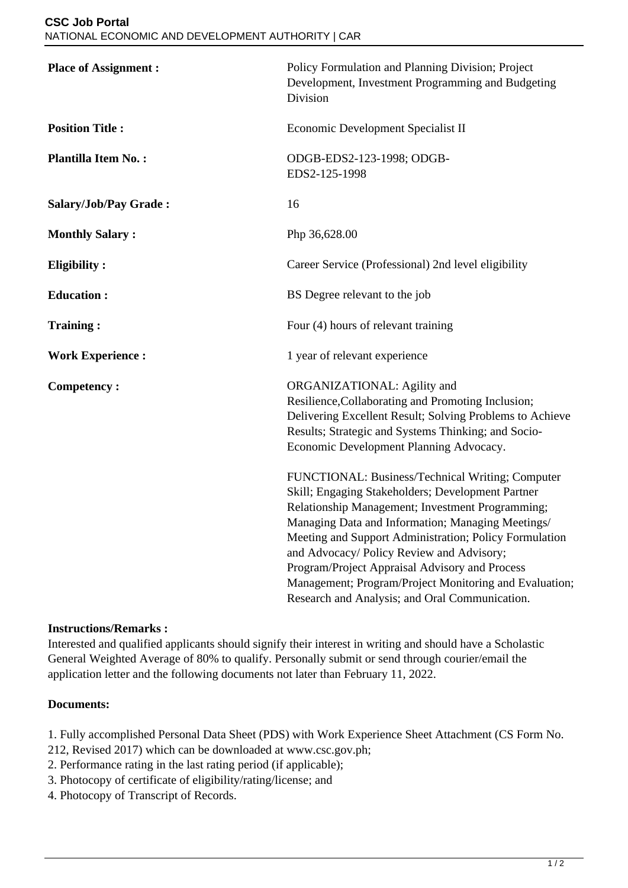| <b>Place of Assignment:</b> | Policy Formulation and Planning Division; Project<br>Development, Investment Programming and Budgeting<br>Division                                                                                                                                                                                                                                                                                                                                                                  |
|-----------------------------|-------------------------------------------------------------------------------------------------------------------------------------------------------------------------------------------------------------------------------------------------------------------------------------------------------------------------------------------------------------------------------------------------------------------------------------------------------------------------------------|
| <b>Position Title:</b>      | Economic Development Specialist II                                                                                                                                                                                                                                                                                                                                                                                                                                                  |
| <b>Plantilla Item No.:</b>  | ODGB-EDS2-123-1998; ODGB-<br>EDS2-125-1998                                                                                                                                                                                                                                                                                                                                                                                                                                          |
| Salary/Job/Pay Grade:       | 16                                                                                                                                                                                                                                                                                                                                                                                                                                                                                  |
| <b>Monthly Salary:</b>      | Php 36,628.00                                                                                                                                                                                                                                                                                                                                                                                                                                                                       |
| <b>Eligibility:</b>         | Career Service (Professional) 2nd level eligibility                                                                                                                                                                                                                                                                                                                                                                                                                                 |
| <b>Education:</b>           | BS Degree relevant to the job                                                                                                                                                                                                                                                                                                                                                                                                                                                       |
| <b>Training:</b>            | Four (4) hours of relevant training                                                                                                                                                                                                                                                                                                                                                                                                                                                 |
| <b>Work Experience:</b>     | 1 year of relevant experience                                                                                                                                                                                                                                                                                                                                                                                                                                                       |
| <b>Competency:</b>          | ORGANIZATIONAL: Agility and<br>Resilience, Collaborating and Promoting Inclusion;<br>Delivering Excellent Result; Solving Problems to Achieve<br>Results; Strategic and Systems Thinking; and Socio-<br>Economic Development Planning Advocacy.                                                                                                                                                                                                                                     |
|                             | FUNCTIONAL: Business/Technical Writing; Computer<br>Skill; Engaging Stakeholders; Development Partner<br>Relationship Management; Investment Programming;<br>Managing Data and Information; Managing Meetings/<br>Meeting and Support Administration; Policy Formulation<br>and Advocacy/ Policy Review and Advisory;<br>Program/Project Appraisal Advisory and Process<br>Management; Program/Project Monitoring and Evaluation;<br>Research and Analysis; and Oral Communication. |

## **Instructions/Remarks :**

Interested and qualified applicants should signify their interest in writing and should have a Scholastic General Weighted Average of 80% to qualify. Personally submit or send through courier/email the application letter and the following documents not later than February 11, 2022.

## **Documents:**

- 1. Fully accomplished Personal Data Sheet (PDS) with Work Experience Sheet Attachment (CS Form No.
- 212, Revised 2017) which can be downloaded at www.csc.gov.ph;
- 2. Performance rating in the last rating period (if applicable);
- 3. Photocopy of certificate of eligibility/rating/license; and
- 4. Photocopy of Transcript of Records.